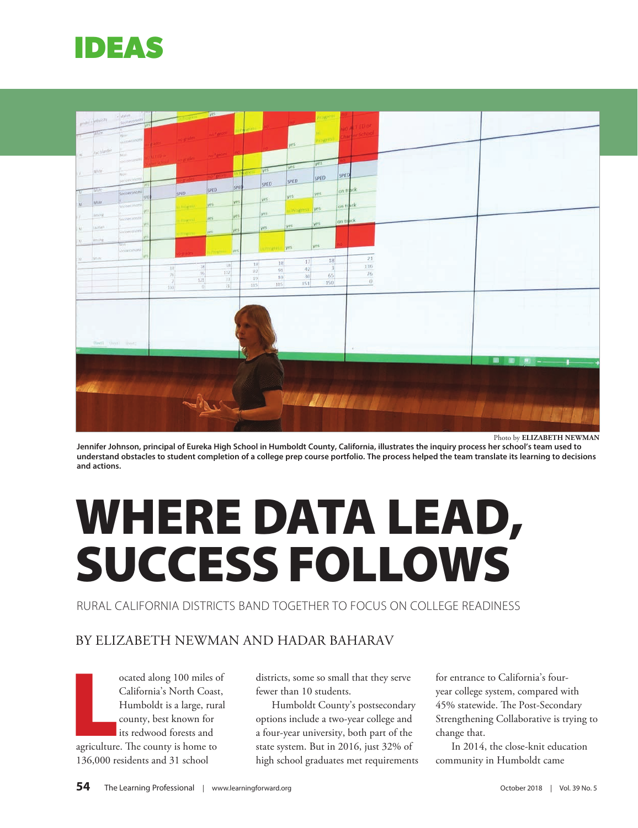



Photo by **ELIZABETH NEWMAN**

**Jennifer Johnson, principal of Eureka High School in Humboldt County, California, illustrates the inquiry process her school's team used to understand obstacles to student completion of a college prep course portfolio. The process helped the team translate its learning to decisions and actions.**

# WHERE DATA LEAD, SUCCESS FOLLOWS

#### RURAL CALIFORNIA DISTRICTS BAND TOGETHER TO FOCUS ON COLLEGE READINESS

#### BY ELIZABETH NEWMAN AND HADAR BAHARAV

ocated along 100 miles o<br>California's North Coast<br>Humboldt is a large, rura<br>county, best known for<br>its redwood forests and<br>agriculture. The county is home to ocated along 100 miles of California's North Coast, Humboldt is a large, rural county, best known for its redwood forests and 136,000 residents and 31 school

districts, some so small that they serve fewer than 10 students.

Humboldt County's postsecondary options include a two-year college and a four-year university, both part of the state system. But in 2016, just 32% of high school graduates met requirements for entrance to California's fouryear college system, compared with 45% statewide. The Post-Secondary Strengthening Collaborative is trying to change that.

In 2014, the close-knit education community in Humboldt came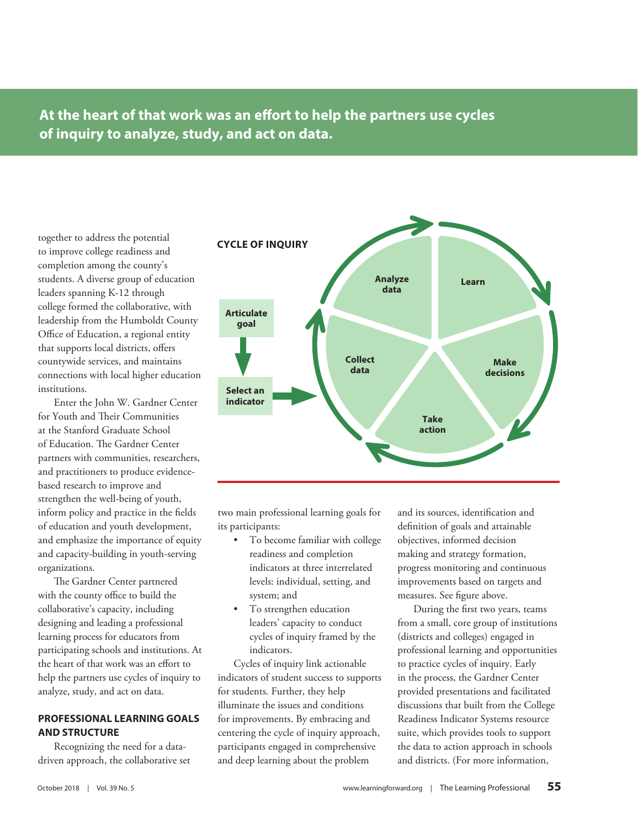**At the heart of that work was an effort to help the partners use cycles of inquiry to analyze, study, and act on data.**

together to address the potential to improve college readiness and completion among the county's students. A diverse group of education leaders spanning K-12 through college formed the collaborative, with leadership from the Humboldt County Office of Education, a regional entity that supports local districts, offers countywide services, and maintains connections with local higher education institutions.

Enter the John W. Gardner Center for Youth and Their Communities at the Stanford Graduate School of Education. The Gardner Center partners with communities, researchers, and practitioners to produce evidencebased research to improve and strengthen the well-being of youth, inform policy and practice in the fields of education and youth development, and emphasize the importance of equity and capacity-building in youth-serving organizations.

The Gardner Center partnered with the county office to build the collaborative's capacity, including designing and leading a professional learning process for educators from participating schools and institutions. At the heart of that work was an effort to help the partners use cycles of inquiry to analyze, study, and act on data.

#### **PROFESSIONAL LEARNING GOALS AND STRUCTURE**

Recognizing the need for a datadriven approach, the collaborative set



two main professional learning goals for its participants:

- To become familiar with college readiness and completion indicators at three interrelated levels: individual, setting, and system; and
- To strengthen education leaders' capacity to conduct cycles of inquiry framed by the indicators.

Cycles of inquiry link actionable indicators of student success to supports for students. Further, they help illuminate the issues and conditions for improvements. By embracing and centering the cycle of inquiry approach, participants engaged in comprehensive and deep learning about the problem

and its sources, identification and definition of goals and attainable objectives, informed decision making and strategy formation, progress monitoring and continuous improvements based on targets and measures. See figure above.

During the first two years, teams from a small, core group of institutions (districts and colleges) engaged in professional learning and opportunities to practice cycles of inquiry. Early in the process, the Gardner Center provided presentations and facilitated discussions that built from the College Readiness Indicator Systems resource suite, which provides tools to support the data to action approach in schools and districts. (For more information,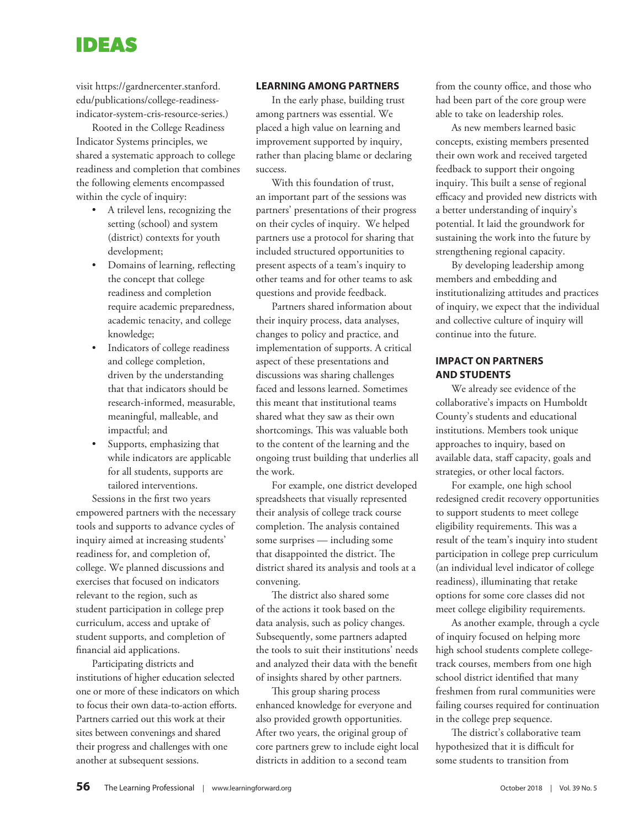## **IDEAS**

visit https://gardnercenter.stanford. edu/publications/college-readinessindicator-system-cris-resource-series.)

Rooted in the College Readiness Indicator Systems principles, we shared a systematic approach to college readiness and completion that combines the following elements encompassed within the cycle of inquiry:

- A trilevel lens, recognizing the setting (school) and system (district) contexts for youth development;
- Domains of learning, reflecting the concept that college readiness and completion require academic preparedness, academic tenacity, and college knowledge;
- Indicators of college readiness and college completion, driven by the understanding that that indicators should be research-informed, measurable, meaningful, malleable, and impactful; and
- Supports, emphasizing that while indicators are applicable for all students, supports are tailored interventions.

Sessions in the first two years empowered partners with the necessary tools and supports to advance cycles of inquiry aimed at increasing students' readiness for, and completion of, college. We planned discussions and exercises that focused on indicators relevant to the region, such as student participation in college prep curriculum, access and uptake of student supports, and completion of financial aid applications.

Participating districts and institutions of higher education selected one or more of these indicators on which to focus their own data-to-action efforts. Partners carried out this work at their sites between convenings and shared their progress and challenges with one another at subsequent sessions.

#### **LEARNING AMONG PARTNERS**

In the early phase, building trust among partners was essential. We placed a high value on learning and improvement supported by inquiry, rather than placing blame or declaring success.

With this foundation of trust, an important part of the sessions was partners' presentations of their progress on their cycles of inquiry. We helped partners use a protocol for sharing that included structured opportunities to present aspects of a team's inquiry to other teams and for other teams to ask questions and provide feedback.

Partners shared information about their inquiry process, data analyses, changes to policy and practice, and implementation of supports. A critical aspect of these presentations and discussions was sharing challenges faced and lessons learned. Sometimes this meant that institutional teams shared what they saw as their own shortcomings. This was valuable both to the content of the learning and the ongoing trust building that underlies all the work.

For example, one district developed spreadsheets that visually represented their analysis of college track course completion. The analysis contained some surprises — including some that disappointed the district. The district shared its analysis and tools at a convening.

The district also shared some of the actions it took based on the data analysis, such as policy changes. Subsequently, some partners adapted the tools to suit their institutions' needs and analyzed their data with the benefit of insights shared by other partners.

This group sharing process enhanced knowledge for everyone and also provided growth opportunities. After two years, the original group of core partners grew to include eight local districts in addition to a second team

from the county office, and those who had been part of the core group were able to take on leadership roles.

As new members learned basic concepts, existing members presented their own work and received targeted feedback to support their ongoing inquiry. This built a sense of regional efficacy and provided new districts with a better understanding of inquiry's potential. It laid the groundwork for sustaining the work into the future by strengthening regional capacity.

By developing leadership among members and embedding and institutionalizing attitudes and practices of inquiry, we expect that the individual and collective culture of inquiry will continue into the future.

#### **IMPACT ON PARTNERS AND STUDENTS**

We already see evidence of the collaborative's impacts on Humboldt County's students and educational institutions. Members took unique approaches to inquiry, based on available data, staff capacity, goals and strategies, or other local factors.

For example, one high school redesigned credit recovery opportunities to support students to meet college eligibility requirements. This was a result of the team's inquiry into student participation in college prep curriculum (an individual level indicator of college readiness), illuminating that retake options for some core classes did not meet college eligibility requirements.

As another example, through a cycle of inquiry focused on helping more high school students complete collegetrack courses, members from one high school district identified that many freshmen from rural communities were failing courses required for continuation in the college prep sequence.

The district's collaborative team hypothesized that it is difficult for some students to transition from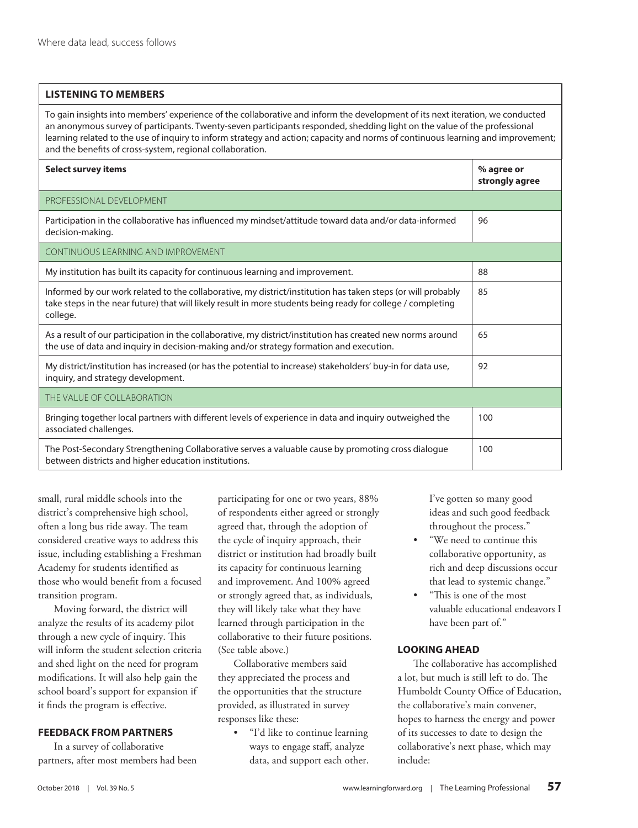#### **LISTENING TO MEMBERS**

To gain insights into members' experience of the collaborative and inform the development of its next iteration, we conducted an anonymous survey of participants. Twenty-seven participants responded, shedding light on the value of the professional learning related to the use of inquiry to inform strategy and action; capacity and norms of continuous learning and improvement; and the benefits of cross-system, regional collaboration.

| <b>Select survey items</b>                                                                                                                                                                                                               | % agree or<br>strongly agree |
|------------------------------------------------------------------------------------------------------------------------------------------------------------------------------------------------------------------------------------------|------------------------------|
| PROFESSIONAL DEVELOPMENT                                                                                                                                                                                                                 |                              |
| Participation in the collaborative has influenced my mindset/attitude toward data and/or data-informed<br>decision-making.                                                                                                               | 96                           |
| CONTINUOUS I FARNING AND IMPROVEMENT                                                                                                                                                                                                     |                              |
| My institution has built its capacity for continuous learning and improvement.                                                                                                                                                           | 88                           |
| Informed by our work related to the collaborative, my district/institution has taken steps (or will probably<br>take steps in the near future) that will likely result in more students being ready for college / completing<br>college. | 85                           |
| As a result of our participation in the collaborative, my district/institution has created new norms around<br>the use of data and inquiry in decision-making and/or strategy formation and execution.                                   | 65                           |
| My district/institution has increased (or has the potential to increase) stakeholders' buy-in for data use,<br>inquiry, and strategy development.                                                                                        | 92                           |
| THE VALUE OF COLLABORATION                                                                                                                                                                                                               |                              |
| Bringing together local partners with different levels of experience in data and inquiry outweighed the<br>associated challenges.                                                                                                        | 100                          |
| The Post-Secondary Strengthening Collaborative serves a valuable cause by promoting cross dialogue<br>between districts and higher education institutions.                                                                               | 100                          |

small, rural middle schools into the district's comprehensive high school, often a long bus ride away. The team considered creative ways to address this issue, including establishing a Freshman Academy for students identified as those who would benefit from a focused transition program.

Moving forward, the district will analyze the results of its academy pilot through a new cycle of inquiry. This will inform the student selection criteria and shed light on the need for program modifications. It will also help gain the school board's support for expansion if it finds the program is effective.

#### **FEEDBACK FROM PARTNERS**

In a survey of collaborative partners, after most members had been

participating for one or two years, 88% of respondents either agreed or strongly agreed that, through the adoption of the cycle of inquiry approach, their district or institution had broadly built its capacity for continuous learning and improvement. And 100% agreed or strongly agreed that, as individuals, they will likely take what they have learned through participation in the collaborative to their future positions. (See table above.)

Collaborative members said they appreciated the process and the opportunities that the structure provided, as illustrated in survey responses like these:

> • "I'd like to continue learning ways to engage staff, analyze data, and support each other.

I've gotten so many good ideas and such good feedback throughout the process."

- "We need to continue this collaborative opportunity, as rich and deep discussions occur that lead to systemic change."
- "This is one of the most valuable educational endeavors I have been part of."

#### **LOOKING AHEAD**

The collaborative has accomplished a lot, but much is still left to do. The Humboldt County Office of Education, the collaborative's main convener, hopes to harness the energy and power of its successes to date to design the collaborative's next phase, which may include: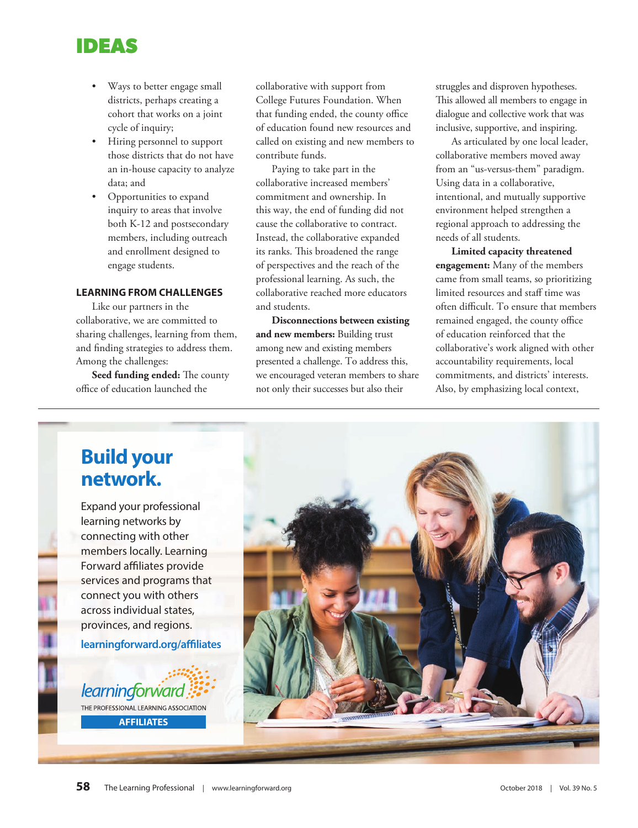

- Ways to better engage small districts, perhaps creating a cohort that works on a joint cycle of inquiry;
- Hiring personnel to support those districts that do not have an in-house capacity to analyze data; and
- Opportunities to expand inquiry to areas that involve both K-12 and postsecondary members, including outreach and enrollment designed to engage students.

#### **LEARNING FROM CHALLENGES**

Like our partners in the collaborative, we are committed to sharing challenges, learning from them, and finding strategies to address them. Among the challenges:

**Seed funding ended:** The county office of education launched the

collaborative with support from College Futures Foundation. When that funding ended, the county office of education found new resources and called on existing and new members to contribute funds.

Paying to take part in the collaborative increased members' commitment and ownership. In this way, the end of funding did not cause the collaborative to contract. Instead, the collaborative expanded its ranks. This broadened the range of perspectives and the reach of the professional learning. As such, the collaborative reached more educators and students.

**Disconnections between existing and new members:** Building trust among new and existing members presented a challenge. To address this, we encouraged veteran members to share not only their successes but also their

struggles and disproven hypotheses. This allowed all members to engage in dialogue and collective work that was inclusive, supportive, and inspiring.

As articulated by one local leader, collaborative members moved away from an "us-versus-them" paradigm. Using data in a collaborative, intentional, and mutually supportive environment helped strengthen a regional approach to addressing the needs of all students.

**Limited capacity threatened engagement:** Many of the members came from small teams, so prioritizing limited resources and staff time was often difficult. To ensure that members remained engaged, the county office of education reinforced that the collaborative's work aligned with other accountability requirements, local commitments, and districts' interests. Also, by emphasizing local context,

## **Build your network.**

Expand your professional learning networks by connecting with other members locally. Learning Forward affiliates provide services and programs that connect you with others across individual states, provinces, and regions.

**learningforward.org/affiliates**